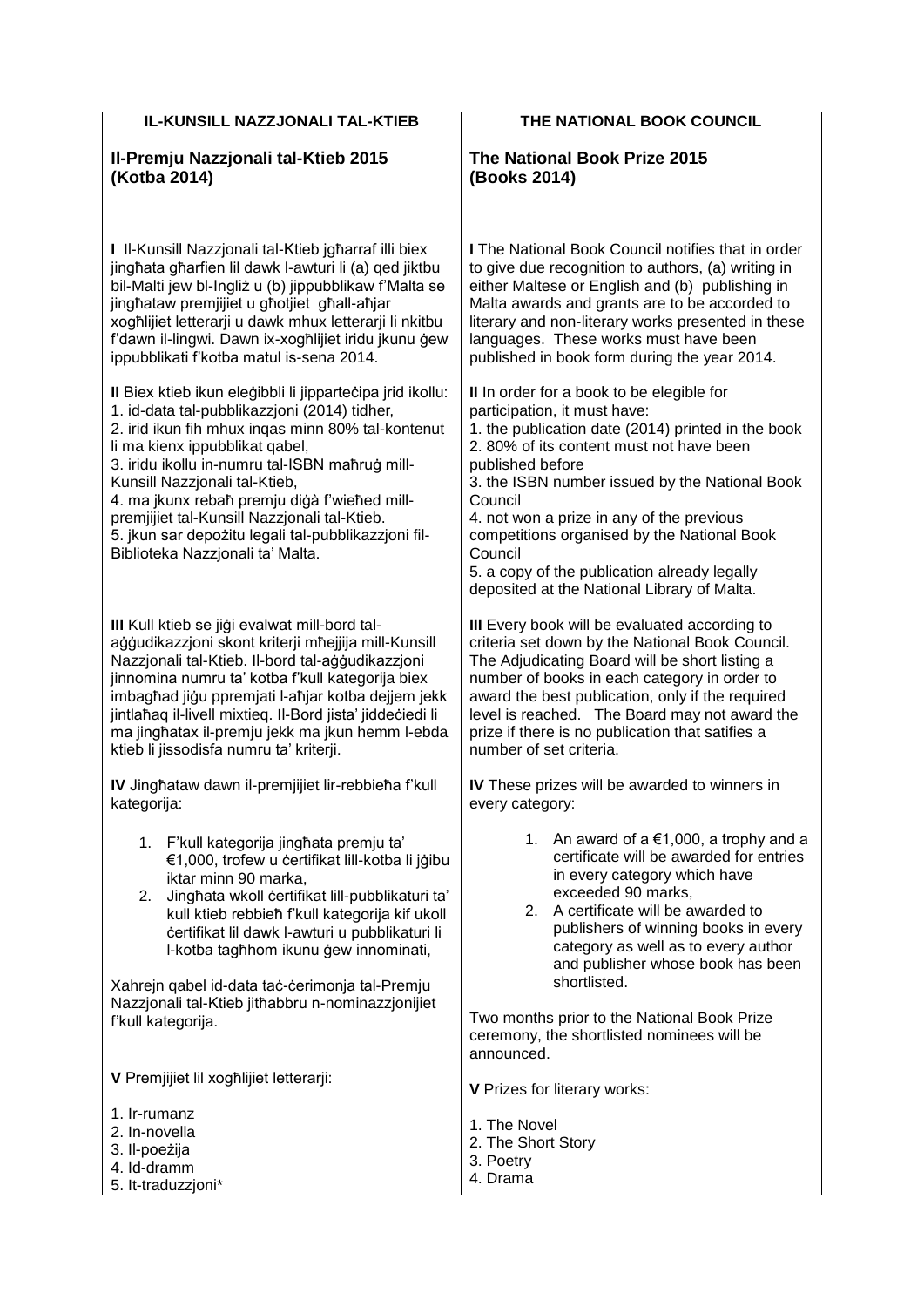| IL-KUNSILL NAZZJONALI TAL-KTIEB                                                                                                                                                                                                                                                                                                                                                                                                                                                                                                                                                                                                                                                                                                                                                                                                                                       | THE NATIONAL BOOK COUNCIL                                                                                                                                                                                                                                                                                                                                                                                                                                                                                                                                                                                                                                                                                                                                                                                                               |
|-----------------------------------------------------------------------------------------------------------------------------------------------------------------------------------------------------------------------------------------------------------------------------------------------------------------------------------------------------------------------------------------------------------------------------------------------------------------------------------------------------------------------------------------------------------------------------------------------------------------------------------------------------------------------------------------------------------------------------------------------------------------------------------------------------------------------------------------------------------------------|-----------------------------------------------------------------------------------------------------------------------------------------------------------------------------------------------------------------------------------------------------------------------------------------------------------------------------------------------------------------------------------------------------------------------------------------------------------------------------------------------------------------------------------------------------------------------------------------------------------------------------------------------------------------------------------------------------------------------------------------------------------------------------------------------------------------------------------------|
| II-Premju Nazzjonali tal-Ktieb 2015<br>(Kotba 2014)                                                                                                                                                                                                                                                                                                                                                                                                                                                                                                                                                                                                                                                                                                                                                                                                                   | The National Book Prize 2015<br>(Books 2014)                                                                                                                                                                                                                                                                                                                                                                                                                                                                                                                                                                                                                                                                                                                                                                                            |
| I Il-Kunsill Nazzjonali tal-Ktieb jgharraf illi biex<br>jinghata gharfien lil dawk l-awturi li (a) qed jiktbu<br>bil-Malti jew bl-Ingliż u (b) jippubblikaw f'Malta se<br>jinghataw premjijiet u ghotjiet ghall-ahjar<br>xogħlijiet letterarji u dawk mhux letterarji li nkitbu<br>f'dawn il-lingwi. Dawn ix-xoghlijiet iridu jkunu gew<br>ippubblikati f'kotba matul is-sena 2014.<br>Il Biex ktieb ikun eleģibbli li jippartečipa jrid ikollu:<br>1. id-data tal-pubblikazzjoni (2014) tidher,<br>2. irid ikun fih mhux ingas minn 80% tal-kontenut<br>li ma kienx ippubblikat qabel,<br>3. iridu ikollu in-numru tal-ISBN mahrug mill-<br>Kunsill Nazzjonali tal-Ktieb,<br>4. ma jkunx rebah premju digà f'wiehed mill-<br>premjijiet tal-Kunsill Nazzjonali tal-Ktieb.<br>5. jkun sar depożitu legali tal-pubblikazzjoni fil-<br>Biblioteka Nazzjonali ta' Malta. | <b>I</b> The National Book Council notifies that in order<br>to give due recognition to authors, (a) writing in<br>either Maltese or English and (b) publishing in<br>Malta awards and grants are to be accorded to<br>literary and non-literary works presented in these<br>languages. These works must have been<br>published in book form during the year 2014.<br>II In order for a book to be elegible for<br>participation, it must have:<br>1. the publication date (2014) printed in the book<br>2.80% of its content must not have been<br>published before<br>3. the ISBN number issued by the National Book<br>Council<br>4. not won a prize in any of the previous<br>competitions organised by the National Book<br>Council<br>5. a copy of the publication already legally<br>deposited at the National Library of Malta. |
| III Kull ktieb se jiği evalwat mill-bord tal-<br>aģģudikazzjoni skont kriterji mħejjija mill-Kunsill<br>Nazzjonali tal-Ktieb. Il-bord tal-aģģudikazzjoni<br>jinnomina numru ta' kotba f'kull kategorija biex<br>imbaghad jigu ppremjati l-ahjar kotba dejjem jekk<br>jintlahaq il-livell mixtieq. Il-Bord jista' jiddeciedi li<br>ma jinghatax il-premju jekk ma jkun hemm l-ebda<br>ktieb li jissodisfa numru ta' kriterji.                                                                                                                                                                                                                                                                                                                                                                                                                                          | III Every book will be evaluated according to<br>criteria set down by the National Book Council.<br>The Adjudicating Board will be short listing a<br>number of books in each category in order to<br>award the best publication, only if the required<br>level is reached. The Board may not award the<br>prize if there is no publication that satifies a<br>number of set criteria.                                                                                                                                                                                                                                                                                                                                                                                                                                                  |
| IV Jinghataw dawn il-premjijiet lir-rebbieha f'kull<br>kategorija:                                                                                                                                                                                                                                                                                                                                                                                                                                                                                                                                                                                                                                                                                                                                                                                                    | IV These prizes will be awarded to winners in<br>every category:                                                                                                                                                                                                                                                                                                                                                                                                                                                                                                                                                                                                                                                                                                                                                                        |
| 1. F'kull kategorija jinghata premju ta'<br>€1,000, trofew u certifikat lill-kotba li jģibu<br>iktar minn 90 marka,<br>Jinghata wkoll certifikat lill-pubblikaturi ta'<br>2.<br>kull ktieb rebbieh f'kull kategorija kif ukoll<br>certifikat lil dawk l-awturi u pubblikaturi li<br>I-kotba tagħhom ikunu ģew innominati,<br>Xahrejn qabel id-data tac-cerimonja tal-Premju<br>Nazzjonali tal-Ktieb jithabbru n-nominazzjonijiet<br>f'kull kategorija.                                                                                                                                                                                                                                                                                                                                                                                                                | 1. An award of $a \in 1,000$ , a trophy and a<br>certificate will be awarded for entries<br>in every category which have<br>exceeded 90 marks,<br>A certificate will be awarded to<br>2.<br>publishers of winning books in every<br>category as well as to every author<br>and publisher whose book has been<br>shortlisted.<br>Two months prior to the National Book Prize<br>ceremony, the shortlisted nominees will be<br>announced.                                                                                                                                                                                                                                                                                                                                                                                                 |
| V Premjijiet lil xoghlijiet letterarji:                                                                                                                                                                                                                                                                                                                                                                                                                                                                                                                                                                                                                                                                                                                                                                                                                               | V Prizes for literary works:                                                                                                                                                                                                                                                                                                                                                                                                                                                                                                                                                                                                                                                                                                                                                                                                            |
| 1. Ir-rumanz<br>2. In-novella<br>3. Il-poeżija<br>4. Id-dramm<br>5. It-traduzzjoni*                                                                                                                                                                                                                                                                                                                                                                                                                                                                                                                                                                                                                                                                                                                                                                                   | 1. The Novel<br>2. The Short Story<br>3. Poetry<br>4. Drama                                                                                                                                                                                                                                                                                                                                                                                                                                                                                                                                                                                                                                                                                                                                                                             |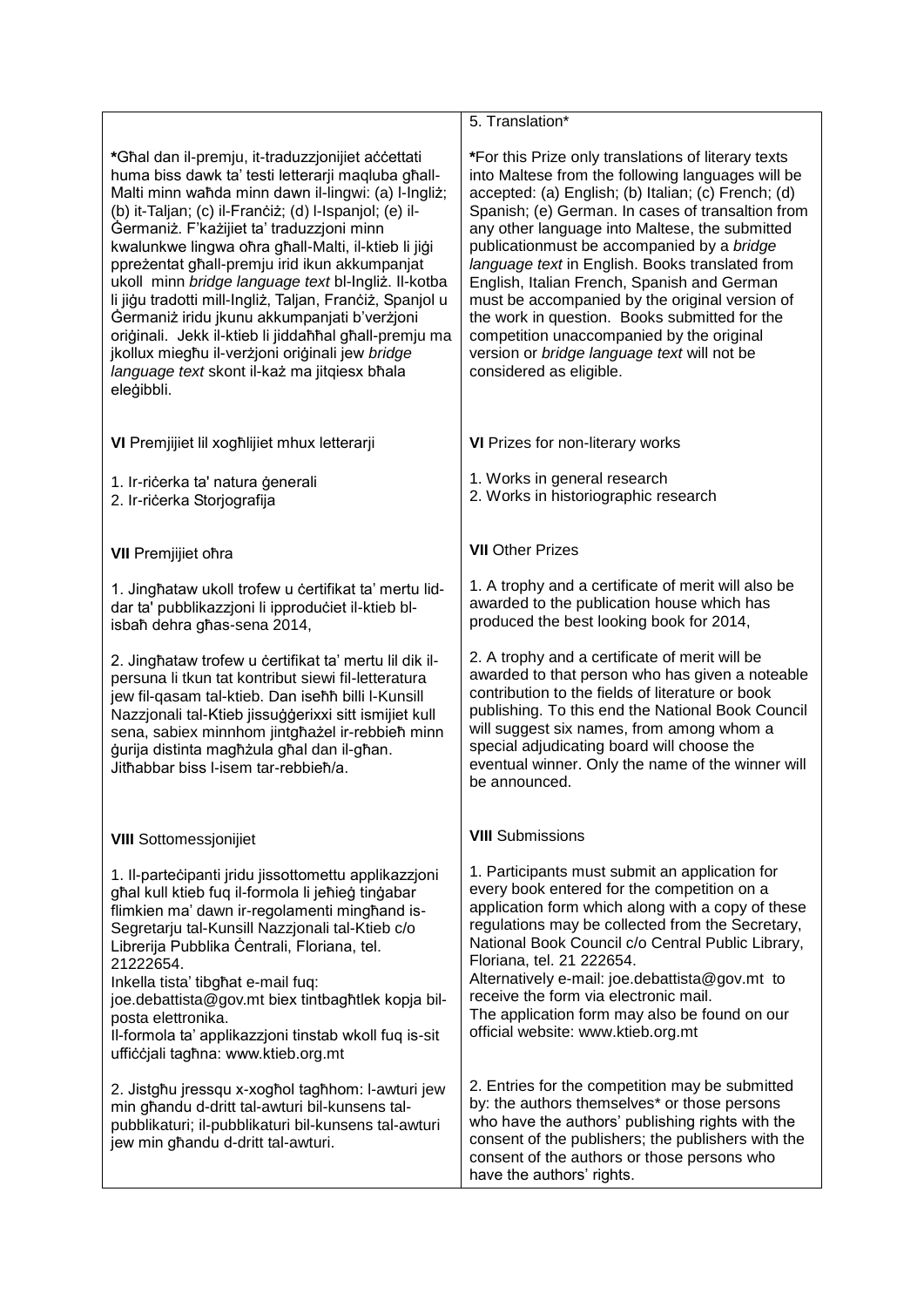**\***Għal dan il-premju, it-traduzzjonijiet aċċettati huma biss dawk ta' testi letterarji maqluba għall-Malti minn waħda minn dawn il-lingwi: (a) l-Ingliż; (b) it-Taljan; (c) il-Franċiż; (d) l-Ispanjol; (e) il-Ġermaniż. F'każijiet ta' traduzzjoni minn kwalunkwe lingwa oħra għall-Malti, il-ktieb li jiġi ppreżentat għall-premju irid ikun akkumpanjat ukoll minn *bridge language text* bl-Ingliż. Il-kotba li jiġu tradotti mill-Ingliż, Taljan, Franċiż, Spanjol u Ġermaniż iridu jkunu akkumpanjati b'verżjoni oriģinali. Jekk il-ktieb li jiddaħħal għall-premju ma jkollux miegħu il-verżjoni oriġinali jew *bridge language text* skont il-każ ma jitqiesx bħala eleġibbli.

**VI** Premjijiet lil xogħlijiet mhux letterarji

- 1. Ir-riċerka ta' natura ġenerali
- 2. Ir-riċerka Storjografija

**VII** Premjijiet oħra

1. Jingħataw ukoll trofew u ċertifikat ta' mertu liddar ta' pubblikazzjoni li ipproduċiet il-ktieb blisbaħ dehra għas-sena 2014,

2. Jingħataw trofew u ċertifikat ta' mertu lil dik ilpersuna li tkun tat kontribut siewi fil-letteratura jew fil-qasam tal-ktieb. Dan iseħħ billi l-Kunsill Nazzionali tal-Ktieb iissuġġerixxi sitt ismijiet kull sena, sabiex minnhom jintgħażel ir-rebbieħ minn ġurija distinta magħżula għal dan il-għan. Jitħabbar biss l-isem tar-rebbieħ/a.

## **VIII** Sottomessjonijiet

1. Il-parteċipanti jridu jissottomettu applikazzjoni għal kull ktieb fuq il-formola li jeħieġ tinġabar flimkien ma' dawn ir-regolamenti minghand is-Segretarju tal-Kunsill Nazzjonali tal-Ktieb c/o Librerija Pubblika Ċentrali, Floriana, tel. 21222654.

Inkella tista' tibgħat e-mail fuq:

joe.debattista@gov.mt biex tintbagħtlek kopja bilposta elettronika.

Il-formola ta' applikazzjoni tinstab wkoll fuq is-sit uffiċċjali tagħna: www.ktieb.org.mt

2. Jistgħu jressqu x-xogħol tagħhom: l-awturi jew min għandu d-dritt tal-awturi bil-kunsens talpubblikaturi; il-pubblikaturi bil-kunsens tal-awturi jew min għandu d-dritt tal-awturi.

## 5. Translation\*

**\***For this Prize only translations of literary texts into Maltese from the following languages will be accepted: (a) English; (b) Italian; (c) French; (d) Spanish; (e) German. In cases of transaltion from any other language into Maltese, the submitted publicationmust be accompanied by a *bridge language text* in English. Books translated from English, Italian French, Spanish and German must be accompanied by the original version of the work in question. Books submitted for the competition unaccompanied by the original version or *bridge language text* will not be considered as eligible.

**VI** Prizes for non-literary works

1. Works in general research

2. Works in historiographic research

**VII** Other Prizes

1. A trophy and a certificate of merit will also be awarded to the publication house which has produced the best looking book for 2014,

2. A trophy and a certificate of merit will be awarded to that person who has given a noteable contribution to the fields of literature or book publishing. To this end the National Book Council will suggest six names, from among whom a special adjudicating board will choose the eventual winner. Only the name of the winner will be announced.

## **VIII** Submissions

1. Participants must submit an application for every book entered for the competition on a application form which along with a copy of these regulations may be collected from the Secretary, National Book Council c/o Central Public Library, Floriana, tel. 21 222654.

Alternatively e-mail: joe.debattista@gov.mt to receive the form via electronic mail. The application form may also be found on our official website: www.ktieb.org.mt

2. Entries for the competition may be submitted by: the authors themselves\* or those persons who have the authors' publishing rights with the consent of the publishers; the publishers with the consent of the authors or those persons who have the authors' rights.